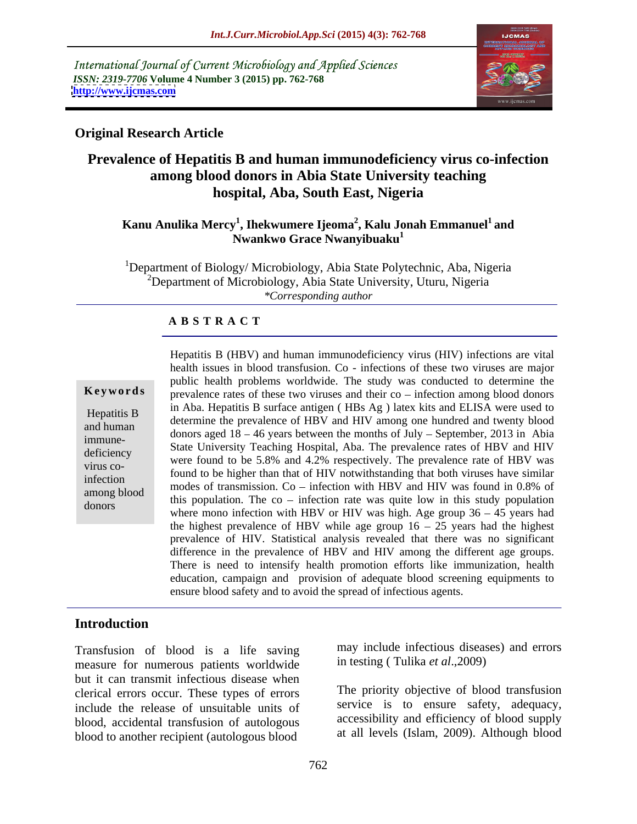International Journal of Current Microbiology and Applied Sciences *ISSN: 2319-7706* **Volume 4 Number 3 (2015) pp. 762-768 <http://www.ijcmas.com>**



### **Original Research Article**

# **Prevalence of Hepatitis B and human immunodeficiency virus co-infection among blood donors in Abia State University teaching hospital, Aba, South East, Nigeria**

### $\bold{K}$ anu Anulika Mercy $^1$ , Ihekwumere Ijeoma $^2$ , Kalu Jonah Emmanuel $^1$  and **and Nwankwo Grace Nwanyibuaku<sup>1</sup>**

<sup>1</sup>Department of Biology/ Microbiology, Abia State Polytechnic, Aba, Nigeria <sup>2</sup>Department of Microbiology, Abia State University, Uturu, Nigeria *\*Corresponding author*

### **A B S T R A C T**

virus codonors

Hepatitis B (HBV) and human immunodeficiency virus (HIV) infections are vital health issues in blood transfusion. Co - infections of these two viruses are major public health problems worldwide. The study was conducted to determine the **Keywords**  $\int$  prevalence rates of these two viruses and their co – infection among blood donors in Aba. Hepatitis B surface antigen ( HBs Ag ) latex kits and ELISA were used to Hepatitis B<br>determine the prevalence of HBV and HIV among one hundred and twenty blood and human<br>donors aged  $18 - 46$  years between the months of July – September, 2013 in Abia immune-<br>
State University Teaching Hospital, Aba. The prevalence rates of HBV and HIV deficiency<br>were found to be 5.8% and 4.2% respectively. The prevalence rate of HBV was found to be higher than that of HIV notwithstanding that both viruses have similar infection<br>modes of transmission. Co – infection with HBV and HIV was found in 0.8% of among blood this population. The co – infection rate was quite low in this study population donors where mono infection with HBV or HIV was high. Age group  $36 - 45$  years had the highest prevalence of HBV while age group  $16 - 25$  years had the highest prevalence of HIV. Statistical analysis revealed that there was no significant difference in the prevalence of HBV and HIV among the different age groups. There is need to intensify health promotion efforts like immunization, health education, campaign and provision of adequate blood screening equipments to ensure blood safety and to avoid the spread of infectious agents.

## **Introduction**

Transfusion of blood is a life saving measure for numerous patients worldwide but it can transmit infectious disease when clerical errors occur. These types of errors include the release of unsuitable units of blood, accidental transfusion of autologous blood to another recipient (autologous blood

may include infectious diseases) and errors in testing ( Tulika *et al*.,2009)

The priority objective of blood transfusion service is to ensure safety, adequacy, accessibility and efficiency of blood supply at all levels (Islam, 2009). Although blood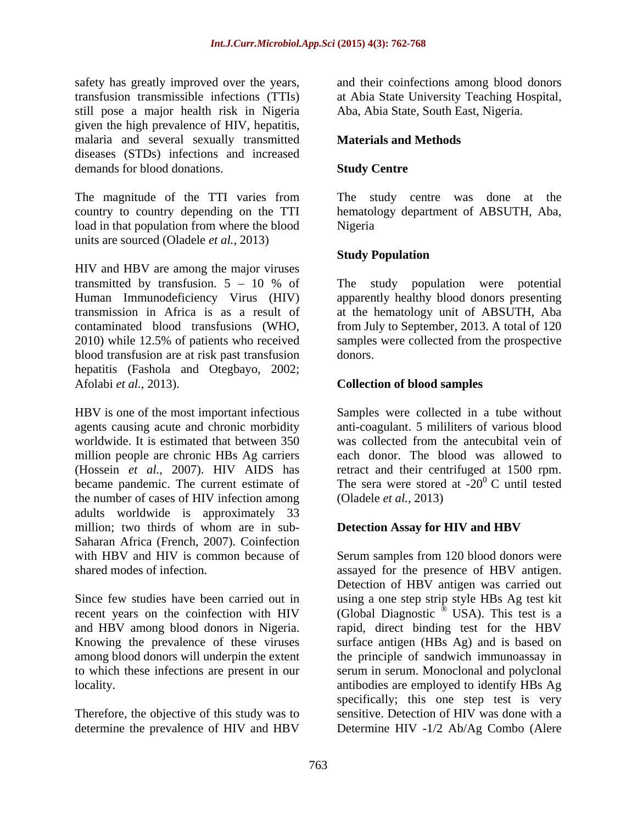safety has greatly improved over the years, and their coinfections among blood donors transfusion transmissible infections (TTIs) at Abia State University Teaching Hospital, still pose a major health risk in Nigeria given the high prevalence of HIV, hepatitis, malaria and several sexually transmitted **Materials and Methods** diseases (STDs) infections and increased demands for blood donations. Study Centre

The magnitude of the TTI varies from The study centre was done at the country to country depending on the TTI hematology department of ABSUTH, Aba, load in that population from where the blood units are sourced (Oladele *et al.,* 2013)

HIV and HBV are among the major viruses blood transfusion are at risk past transfusion hepatitis (Fashola and Otegbayo, 2002; Afolabi *et al.,* 2013). **Collection of blood samples**

(Hossein *et al.,* 2007). HIV AIDS has the number of cases of HIV infection among adults worldwide is approximately 33 million; two thirds of whom are in sub-<br>Detection Assay for HIV and HBV Saharan Africa (French, 2007). Coinfection

determine the prevalence of HIV and HBV Determine HIV -1/2 Ab/Ag Combo (Alere

Aba, Abia State, South East, Nigeria.

### **Materials and Methods**

### **Study Centre**

Nigeria

### **Study Population**

transmitted by transfusion.  $5 - 10 %$  of The study population were potential Human Immunodeficiency Virus (HIV) apparently healthy blood donors presenting transmission in Africa is as a result of at the hematology unit of ABSUTH, Aba contaminated blood transfusions (WHO, from July to September, 2013. A total of 120 2010) while 12.5% of patients who received samples were collected from the prospective donors.

HBV is one of the most important infectious Samples were collected in a tube without agents causing acute and chronic morbidity anti-coagulant. 5 mililiters of various blood worldwide. It is estimated that between 350 was collected from the antecubital vein of million people are chronic HBs Ag carriers each donor. The blood was allowed to became pandemic. The current estimate of The sera were stored at  $-20^{\circ}$  C until tested retract and their centrifuged at 1500 rpm. (Oladele *et al.,* 2013)

### **Detection Assay for HIV and HBV**

with HBV and HIV is common because of Serum samples from 120 blood donors were shared modes of infection. assayed for the presence of HBV antigen. Since few studies have been carried out in using a one step strip style HBs Ag test kit recent years on the coinfection with HIV (Global Diagnostic  $\overset{\circ}{\circ}$  USA). This test is a and HBV among blood donors in Nigeria. rapid, direct binding test for the HBV Knowing the prevalence of these viruses surface antigen (HBs Ag) and is based on among blood donors will underpin the extent the principle of sandwich immunoassay in to which these infections are present in our serum in serum. Monoclonal and polyclonal locality. antibodies are employed to identify HBs Ag Therefore, the objective of this study was to sensitive. Detection of HIV was done with a Detection of HBV antigen was carried out specifically; this one step test is very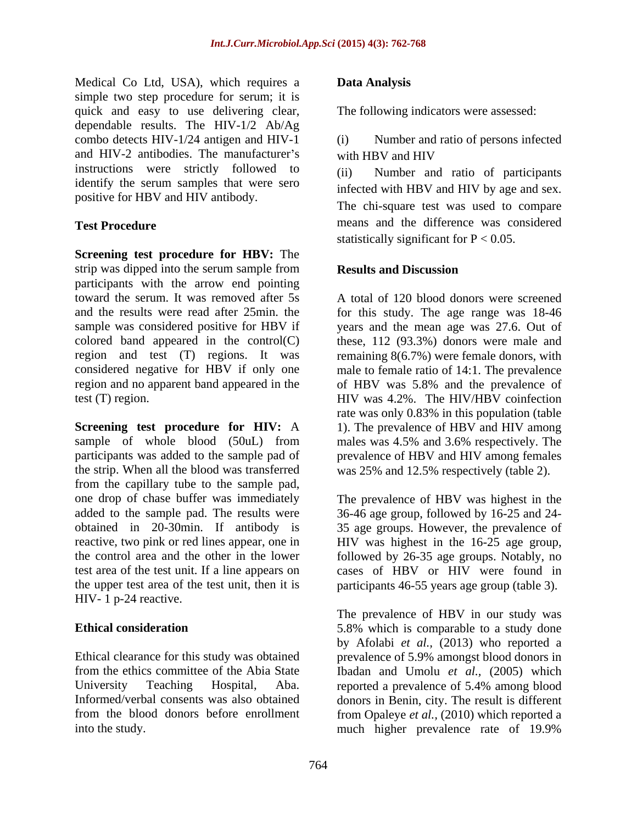Medical Co Ltd, USA), which requires a **Data Analysis** simple two step procedure for serum; it is quick and easy to use delivering clear, dependable results. The HIV-1/2 Ab/Ag combo detects HIV-1/24 antigen and HIV-1 and HIV-2 antibodies. The manufacturer's with HBV and HIV instructions were strictly followed to (ii) identify the serum samples that were sero positive for HBV and HIV antibody.

**Screening test procedure for HBV:** The strip was dipped into the serum sample from **Results and Discussion** participants with the arrow end pointing toward the serum. It was removed after 5s A total of 120 blood donors were screened and the results were read after 25min. the for this study.The age range was 18-46 sample was considered positive for HBV if years and the mean age was 27.6.Out of colored band appeared in the control(C) region and test (T) regions. It was remaining 8(6.7%) were female donors, with considered negative for HBV if only one male to female ratio of 14:1. The prevalence region and no apparent band appeared in the of HBV was 5.8% and the prevalence of test (T) region. HIV was 4.2%. The HIV/HBV coinfection

**Screening test procedure for HIV:** A 1). The prevalence of HBV and HIV among sample of whole blood (50uL) from males was 4.5% and 3.6% respectively. The participants was added to the sample pad of prevalence of HBV and HIV among females the strip. When all the blood was transferred was 25% and 12.5% respectively (table 2). from the capillary tube to the sample pad, one drop of chase buffer was immediately The prevalence of HBV was highest in the added to the sample pad. The results were 36-46 age group, followed by 16-25 and 24 obtained in 20-30min. If antibody is 35 age groups. However, the prevalence of reactive, two pink or red lines appear, one in HIV was highest in the 16-25 age group, the control area and the other in the lower followed by 26-35 age groups. Notably, no test area of the test unit. If a line appears on cases of HBV or HIV were found in the upper test area of the test unit, then it is HIV- 1 p-24 reactive.

### **Data Analysis**

The following indicators were assessed:

Number and ratio of persons infected with HBV and HIV

**Test Procedure** means and the difference was considered Number and ratio of participants infected with HBV and HIV by age and sex. The chi-square test was used to compare statistically significant for  $P < 0.05$ .

### **Results and Discussion**

these, 112 (93.3%) donors were male and of HBV was 5.8% and the prevalence of HIV was 4.2%. The HIV/HBV coinfection rate was only 0.83% in this population (table males was 4.5% and 3.6% respectively. The

participants 46-55 years age group (table 3).

**Ethical consideration** 5.8% which is comparable to a study done Ethical clearance for this study was obtained prevalence of 5.9% amongst blood donors in from the ethics committee of the Abia State Ibadan and Umolu *et al.,* (2005) which University Teaching Hospital, Aba. reported a prevalence of 5.4% among blood Informed/verbal consents was also obtained donors in Benin, city. The result is different from the blood donors before enrollment from Opaleye *et al.,* (2010) which reported a into the study. much higher prevalence rate of 19.9%The prevalence of HBV in our study was by Afolabi *et al.,* (2013) who reported a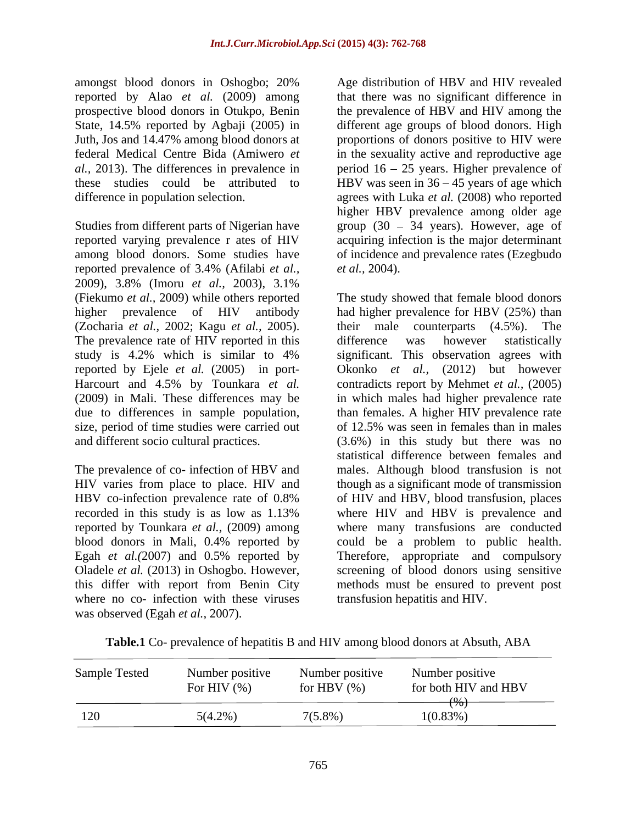amongst blood donors in Oshogbo; 20% reported by Alao *et al.* (2009) among

Studies from different parts of Nigerian have group (30 – 34 years). However, age of reported varying prevalence r ates of HIV among blood donors. Some studies have of incidence and prevalence rates (Ezegbudo reported prevalence of 3.4% (Afilabi *et al.,* 2009), 3.8% (Imoru *et al.,* 2003), 3.1% size, period of time studies were carried out

where no co- infection with these viruses was observed (Egah *et al.,* 2007).

prospective blood donors in Otukpo, Benin the prevalence of HBV and HIV among the State, 14.5% reported by Agbaji (2005) in different age groups of blood donors. High Juth, Jos and 14.47% among blood donors at proportions of donors positive to HIV were federal Medical Centre Bida (Amiwero *et*  in the sexuality active and reproductive age *al.,* 2013). The differences in prevalence in period 16 25 years. Higher prevalence of these studies could be attributed to HBV was seen in 36 45 years of age which difference in population selection. agrees with Luka *et al.* (2008) who reported Age distribution of HBV and HIV revealed that there was no significant difference in higher HBV prevalence among older age acquiring infection is the major determinant *et al.,* 2004).

(Fiekumo *et al.,* 2009) while others reported The study showed that female blood donors higher prevalence of HIV antibody had higher prevalence for HBV (25%) than (Zocharia *et al.*, 2002; Kagu *et al.*, 2005). their male counterparts (4.5%). The prevalence rate of HIV reported in this difference was however statistically study is 4.2% which is similar to 4% significant. This observation agrees with reported by Ejele *et al.* (2005) in port- Okonko *et al.,* (2012) but however Harcourt and 4.5% by Tounkara *et al.* contradicts report by Mehmet *et al.,* (2005) (2009) in Mali. These differences may be in which males had higher prevalence rate due to differences in sample population, than females. A higher HIV prevalence rate and different socio cultural practices. (3.6%) in this study but there was no The prevalence of co- infection of HBV and males. Although blood transfusion is not HIV varies from place to place. HIV and though as a significant mode of transmission HBV co-infection prevalence rate of 0.8% of HIV and HBV, blood transfusion, places recorded in this study is as low as 1.13% where HIV and HBV is prevalence and reported by Tounkara *et al.,* (2009) among where many transfusions are conducted blood donors in Mali, 0.4% reported by could be a problem to public health. Egah *et al.(*2007) and 0.5% reported by Therefore, appropriate and compulsory Oladele *et al.* (2013) in Oshogbo. However, screening of blood donors using sensitive this differ with report from Benin City methods must be ensured to prevent post their male counterparts (4.5%). The difference was however statistically of 12.5% was seen in females than in males statistical difference between females and of HIV and HBV, blood transfusion, places where HIV and HBV is prevalence and transfusion hepatitis and HIV.

**Table.1** Co- prevalence of hepatitis B and HIV among blood donors at Absuth, ABA

| Sample Tested<br>Number positive<br>Number positive<br>For HIV $(\% )$<br>for HBV $(\%)$ | Number positive<br>for both HIV and HBV |
|------------------------------------------------------------------------------------------|-----------------------------------------|
| $7(5.8\%)$<br>$5(4.2\%)$                                                                 | 1(0.83%)                                |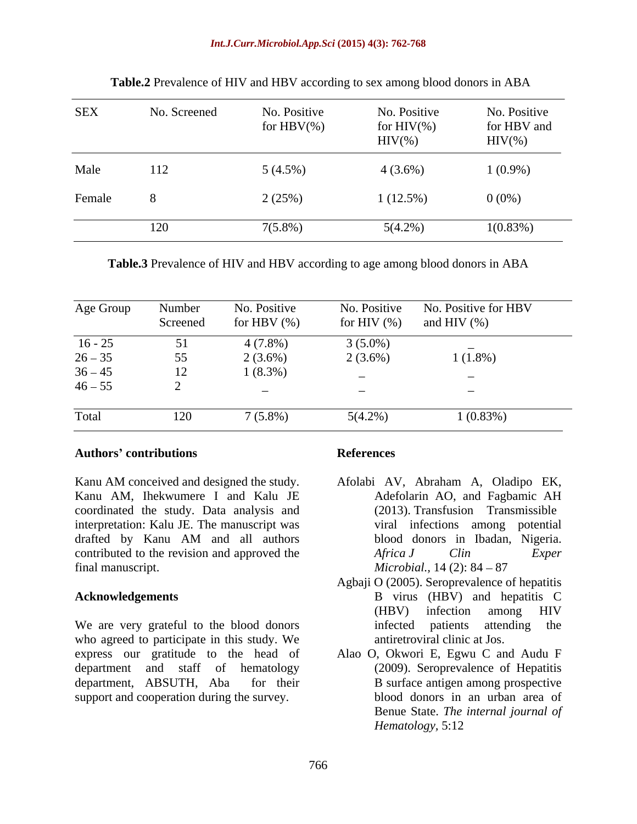| <b>SEX</b> | No. Screened | No. Positive<br>for $HBV(\% )$ | No. Positive<br>for $HIV(\%)$<br>$HIV$ (%) | No. Positive<br>for HBV and<br>$HIV(\%)$ |
|------------|--------------|--------------------------------|--------------------------------------------|------------------------------------------|
| Male       | 112          | $5(4.5\%)$                     | $4(3.6\%)$                                 | $1(0.9\%)$                               |
| Female     |              | 2(25%)                         | 1(12.5%)                                   | $0(0\%)$                                 |
|            | 120          | $7(5.8\%)$                     | $5(4.2\%)$                                 | $1(0.83\%)$                              |

**Table.2** Prevalence of HIV and HBV according to sex among blood donors in ABA

**Table.3** Prevalence of HIV and HBV according to age among blood donors in ABA

| Age Group | Number<br>Screened | No. Positive<br>for HBV $(\%)$ |                          | No. Positive No. Positive for HBV<br>for HIV $(\%)$ and HIV $(\%)$ |
|-----------|--------------------|--------------------------------|--------------------------|--------------------------------------------------------------------|
| $16 - 25$ |                    | 4 (7.8%)                       | $3(5.0\%)$               |                                                                    |
| $26 - 35$ | 55<br>ັບ           | $2(3.6\%)$                     | $2(3.6\%)$               | $1(1.8\%)$                                                         |
| $36 - 45$ | 12                 | $1(8.3\%)$                     |                          |                                                                    |
| $46 - 55$ |                    |                                | $\overline{\phantom{0}}$ |                                                                    |
| Total     | 120                | 7 (5.8%                        | 5(4.2%                   | 1(0.83%)                                                           |

### **Authors contributions**

Kanu AM conceived and designed the study. Afolabi AV, Abraham A, Oladipo EK, Kanu AM, Ihekwumere I and Kalu JE coordinated the study. Data analysis and interpretation: Kalu JE. The manuscript was drafted by Kanu AM and all authors contributed to the revision and approved the *Africa J Clin Exper* final manuscript.  $Microbial$ ,  $14$  (2):  $84 - 87$ 

We are very grateful to the blood donors infected patients attending the who agreed to participate in this study. We express our gratitude to the head of department and staff of hematology department, ABSUTH, Aba for their B surface antigen among prospective support and cooperation during the survey.

### **References**

- Adefolarin AO, and Fagbamic AH (2013). Transfusion Transmissible viral infections among potential blood donors in Ibadan, Nigeria. *Africa J Clin Exper Microbial.,* 14 (2): 84 – 87
- **Acknowledgements** B virus (HBV) and hepatitis C Agbaji O (2005). Seroprevalence of hepatitis (HBV) infection among HIV infected patients attending antiretroviral clinic at Jos.
	- Alao O, Okwori E, Egwu C and Audu F (2009). Seroprevalence of Hepatitis blood donors in an urban area of Benue State. *The internal journal of Hematology,* 5:12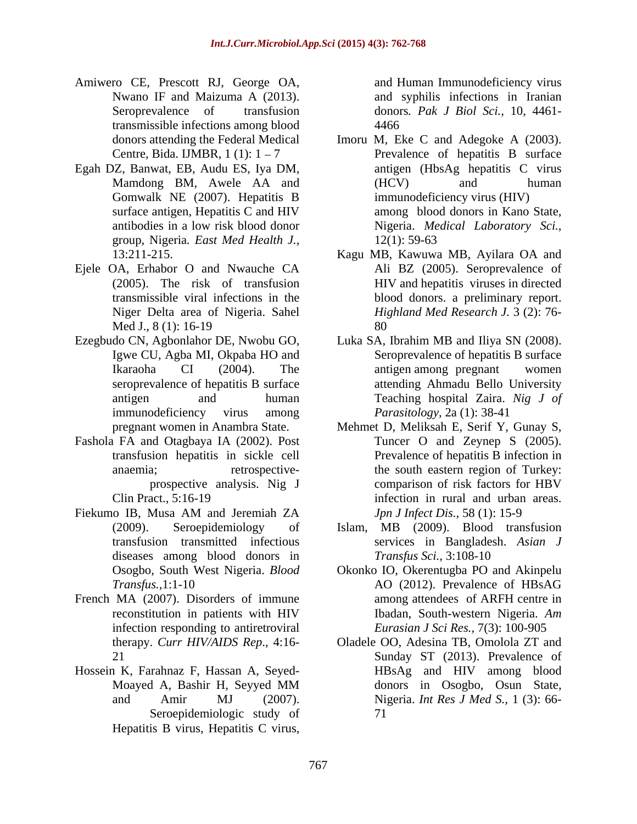- Amiwero CE, Prescott RJ, George OA, Nwano IF and Maizuma A (2013). and syphilis infections in Iranian Seroprevalence of transfusion donors*. Pak J Biol Sci.,* 10, 4461 transmissible infections among blood
- Egah DZ, Banwat, EB, Audu ES, Iya DM, Gomwalk NE (2007). Hepatitis B group, Nigeria*. East Med Health J.,*
- Ejele OA, Erhabor O and Nwauche CA Niger Delta area of Nigeria. Sahel
- Ezegbudo CN, Agbonlahor DE, Nwobu GO, Luka SA, Ibrahim MB and Iliya SN (2008).
- Fashola FA and Otagbaya IA (2002). Post
- Fiekumo IB, Musa AM and Jeremiah ZA *Jpn J Infect Dis.*, 58 (1): 15-9 diseases among blood donors in
- French MA (2007). Disorders of immune among attendees of ARFH centre in infection responding to antiretroviral
- Hossein K, Farahnaz F, Hassan A, Seyed- Seroepidemiologic study of Hepatitis B virus, Hepatitis C virus,

and Human Immunodeficiency virus 4466

- donors attending the Federal Medical Imoru M, Eke C and Adegoke A (2003). Centre, Bida. IJMBR,  $1(1)$ :  $1-7$  Prevalence of hepatitis B surface Mamdong BM, Awele AA and surface antigen, Hepatitis C and HIV among blood donors in Kano State, antibodies in a low risk blood donor Nigeria. *Medical Laboratory Sci.,* antigen (HbsAg hepatitis C virus (HCV) and human immunodeficiency virus (HIV) among blood donors in Kano State, 12(1): 59-63
- 13:211-215. Kagu MB, Kawuwa MB, Ayilara OA and (2005). The risk of transfusion HIV and hepatitis viruses in directed transmissible viral infections in the blood donors. a preliminary report. Med J., 8 (1): 16-19 Ali BZ (2005). Seroprevalence of *Highland Med Research J.* 3 (2): 76- 80
- Igwe CU, Agba MI, Okpaba HO and Seroprevalence of hepatitis B surface Ikaraoha CI (2004). The antigen among pregnant women seroprevalence of hepatitis B surface attending Ahmadu Bello University antigen and human Teaching hospital Zaira. *Nig J of* immunodeficiency virus among *Parasitology*, 2a (1): 38-41 antigen among pregnant women *Parasitology,* 2a (1): 38-41
- pregnant women in Anambra State. Mehmet D, Meliksah E, Serif Y, Gunay S, transfusion hepatitis in sickle cell Prevalence of hepatitis B infection in anaemia; eretrospective- the south eastern region of Turkey: prospective analysis. Nig J comparison of risk factors for HBV Clin Pract., 5:16-19 infection in rural and urban areas. Tuncer O and Zeynep S (2005). comparison of risk factors for HBV *Jpn J Infect Dis.,* 58 (1): 15-9
- (2009). Seroepidemiology of Islam, MB (2009). Blood transfusion transfusion transmitted infectious services in Bangladesh. *Asian J Transfus Sci.,* 3:108-10
- Osogbo, South West Nigeria. *Blood*  Okonko IO, Okerentugba PO and Akinpelu *Transfus.,*1:1-10 AO (2012). Prevalence of HBsAG reconstitution in patients with HIV Ibadan, South-western Nigeria. Am AO (2012). Prevalence of HBsAG among attendees of ARFH centre in Ibadan, South-western Nigeria. *Am Eurasian J Sci Res.,* 7(3): 100-905
- therapy. *Curr HIV/AIDS Rep*., 4:16- Oladele OO, Adesina TB, Omolola ZT and 21 Sunday ST (2013). Prevalence of Moayed A, Bashir H, Seyyed MM and Amir MJ (2007). Nigeria. *Int Res J Med S.,* 1 (3): 66- HBsAg and HIV among blood donors in Osogbo, Osun State, 71